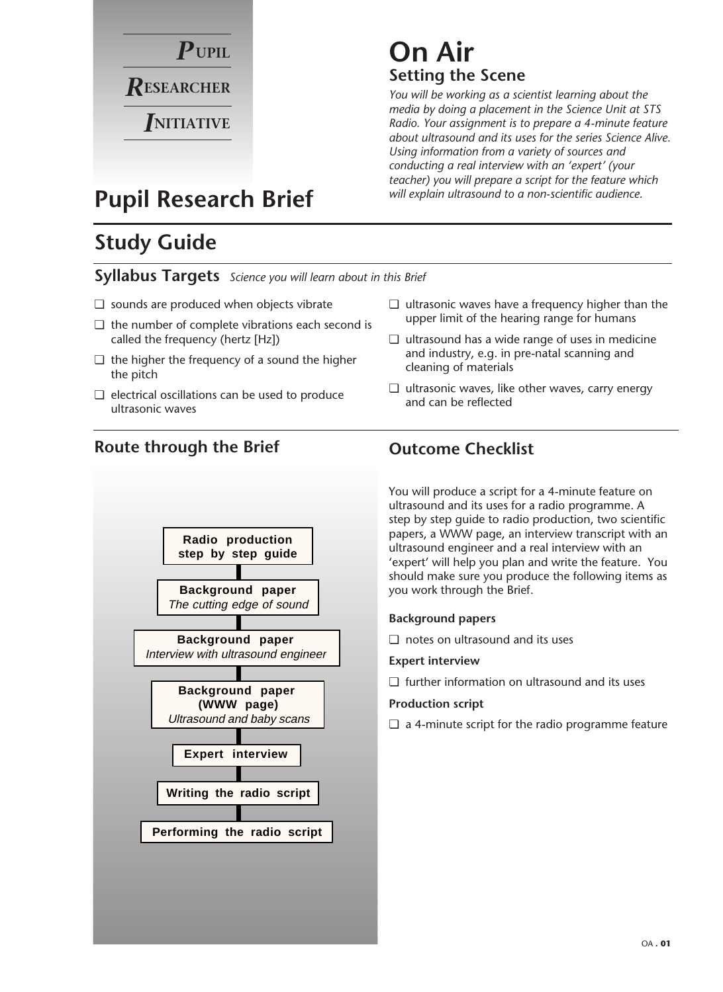

## **On Air Setting the Scene**

*You will be working as a scientist learning about the media by doing a placement in the Science Unit at STS Radio. Your assignment is to prepare a 4-minute feature about ultrasound and its uses for the series Science Alive. Using information from a variety of sources and conducting a real interview with an 'expert' (your teacher) you will prepare a script for the feature which will explain ultrasound to a non-scientific audience.*

## **Pupil Research Brief**

## **Study Guide**

**Syllabus Targets** *Science you will learn about in this Brief*

- ❏ sounds are produced when objects vibrate
- ❏ the number of complete vibrations each second is called the frequency (hertz [Hz])
- $\Box$  the higher the frequency of a sound the higher the pitch
- ❏ electrical oscillations can be used to produce ultrasonic waves
- ❏ ultrasonic waves have a frequency higher than the upper limit of the hearing range for humans
- ❏ ultrasound has a wide range of uses in medicine and industry, e.g. in pre-natal scanning and cleaning of materials
- ❏ ultrasonic waves, like other waves, carry energy and can be reflected

## **Route through the Brief Outcome Checklist**



You will produce a script for a 4-minute feature on ultrasound and its uses for a radio programme. A step by step guide to radio production, two scientific papers, a WWW page, an interview transcript with an ultrasound engineer and a real interview with an 'expert' will help you plan and write the feature. You should make sure you produce the following items as you work through the Brief.

### **Background papers**

❏ notes on ultrasound and its uses

### **Expert interview**

❏ further information on ultrasound and its uses

### **Production script**

❏ a 4-minute script for the radio programme feature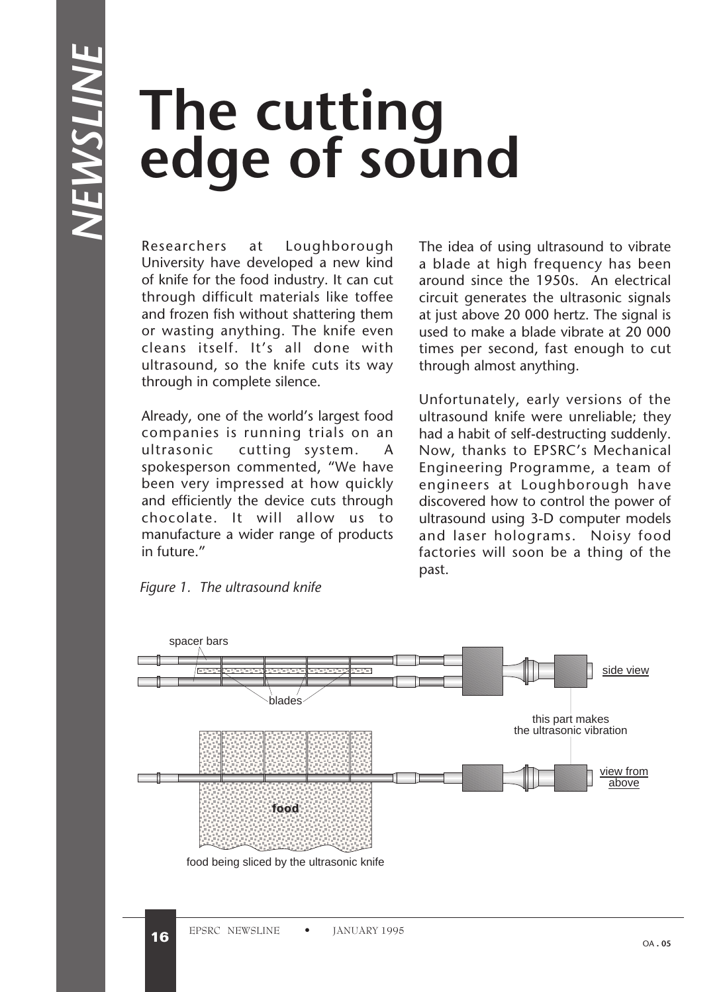# **The cutting edge of sound**

Researchers at Loughborough University have developed a new kind of knife for the food industry. It can cut through difficult materials like toffee and frozen fish without shattering them or wasting anything. The knife even cleans itself. It's all done with ultrasound, so the knife cuts its way through in complete silence.

Already, one of the world's largest food companies is running trials on an ultrasonic cutting system. A spokesperson commented, "We have been very impressed at how quickly and efficiently the device cuts through chocolate. It will allow us to manufacture a wider range of products in future."

The idea of using ultrasound to vibrate a blade at high frequency has been around since the 1950s. An electrical circuit generates the ultrasonic signals at just above 20 000 hertz. The signal is used to make a blade vibrate at 20 000 times per second, fast enough to cut through almost anything.

Unfortunately, early versions of the ultrasound knife were unreliable; they had a habit of self-destructing suddenly. Now, thanks to EPSRC's Mechanical Engineering Programme, a team of engineers at Loughborough have discovered how to control the power of ultrasound using 3-D computer models and laser holograms. Noisy food factories will soon be a thing of the past.



*Figure 1. The ultrasound knife*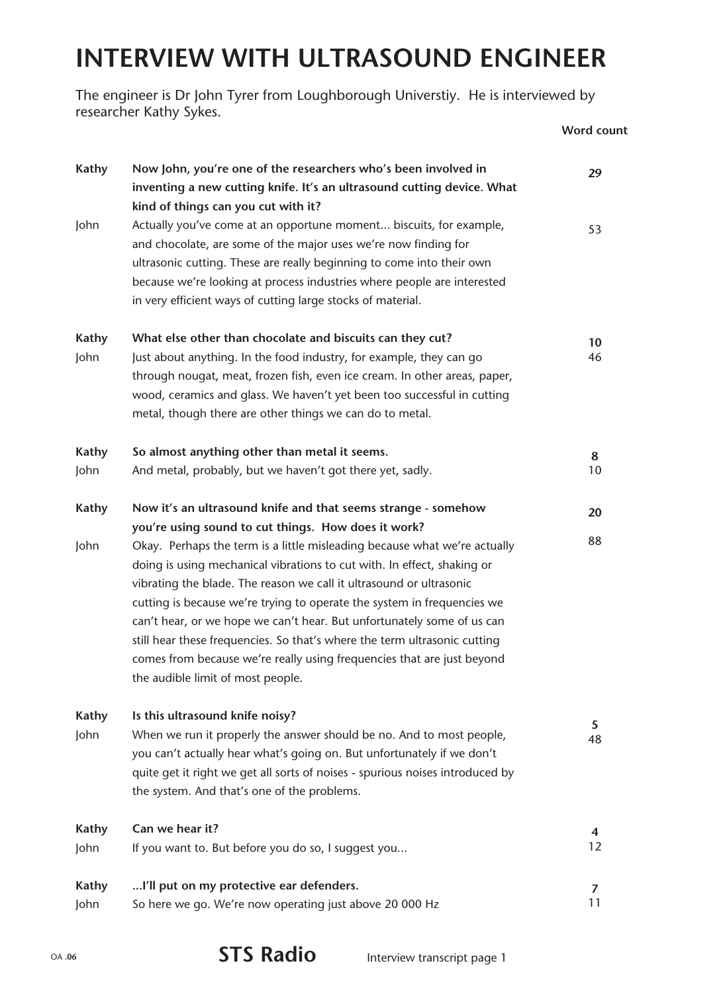## **INTERVIEW WITH ULTRASOUND ENGINEER**

The engineer is Dr John Tyrer from Loughborough Universtiy. He is interviewed by researcher Kathy Sykes.

**Word count**

| <b>Kathy</b>         | Now John, you're one of the researchers who's been involved in<br>inventing a new cutting knife. It's an ultrasound cutting device. What<br>kind of things can you cut with it?                                                                                                                                                                                                                                                                                                                                                                                                                                                                                                                      | 29       |
|----------------------|------------------------------------------------------------------------------------------------------------------------------------------------------------------------------------------------------------------------------------------------------------------------------------------------------------------------------------------------------------------------------------------------------------------------------------------------------------------------------------------------------------------------------------------------------------------------------------------------------------------------------------------------------------------------------------------------------|----------|
| John                 | Actually you've come at an opportune moment biscuits, for example,<br>and chocolate, are some of the major uses we're now finding for<br>ultrasonic cutting. These are really beginning to come into their own<br>because we're looking at process industries where people are interested<br>in very efficient ways of cutting large stocks of material.                                                                                                                                                                                                                                                                                                                                             | 53       |
| <b>Kathy</b><br>John | What else other than chocolate and biscuits can they cut?<br>Just about anything. In the food industry, for example, they can go<br>through nougat, meat, frozen fish, even ice cream. In other areas, paper,<br>wood, ceramics and glass. We haven't yet been too successful in cutting<br>metal, though there are other things we can do to metal.                                                                                                                                                                                                                                                                                                                                                 | 10<br>46 |
| Kathy<br>John        | So almost anything other than metal it seems.<br>And metal, probably, but we haven't got there yet, sadly.                                                                                                                                                                                                                                                                                                                                                                                                                                                                                                                                                                                           | 8<br>10  |
| <b>Kathy</b><br>John | Now it's an ultrasound knife and that seems strange - somehow<br>you're using sound to cut things. How does it work?<br>Okay. Perhaps the term is a little misleading because what we're actually<br>doing is using mechanical vibrations to cut with. In effect, shaking or<br>vibrating the blade. The reason we call it ultrasound or ultrasonic<br>cutting is because we're trying to operate the system in frequencies we<br>can't hear, or we hope we can't hear. But unfortunately some of us can<br>still hear these frequencies. So that's where the term ultrasonic cutting<br>comes from because we're really using frequencies that are just beyond<br>the audible limit of most people. | 20<br>88 |
| <b>Kathy</b><br>John | Is this ultrasound knife noisy?<br>When we run it properly the answer should be no. And to most people,<br>you can't actually hear what's going on. But unfortunately if we don't<br>quite get it right we get all sorts of noises - spurious noises introduced by<br>the system. And that's one of the problems.                                                                                                                                                                                                                                                                                                                                                                                    | 5<br>48  |
| <b>Kathy</b><br>John | Can we hear it?<br>If you want to. But before you do so, I suggest you                                                                                                                                                                                                                                                                                                                                                                                                                                                                                                                                                                                                                               | 4<br>12  |
| <b>Kathy</b><br>John | I'll put on my protective ear defenders.<br>So here we go. We're now operating just above 20 000 Hz                                                                                                                                                                                                                                                                                                                                                                                                                                                                                                                                                                                                  | 7<br>11  |

### OA **.06 STS Radio** Interview transcript page 1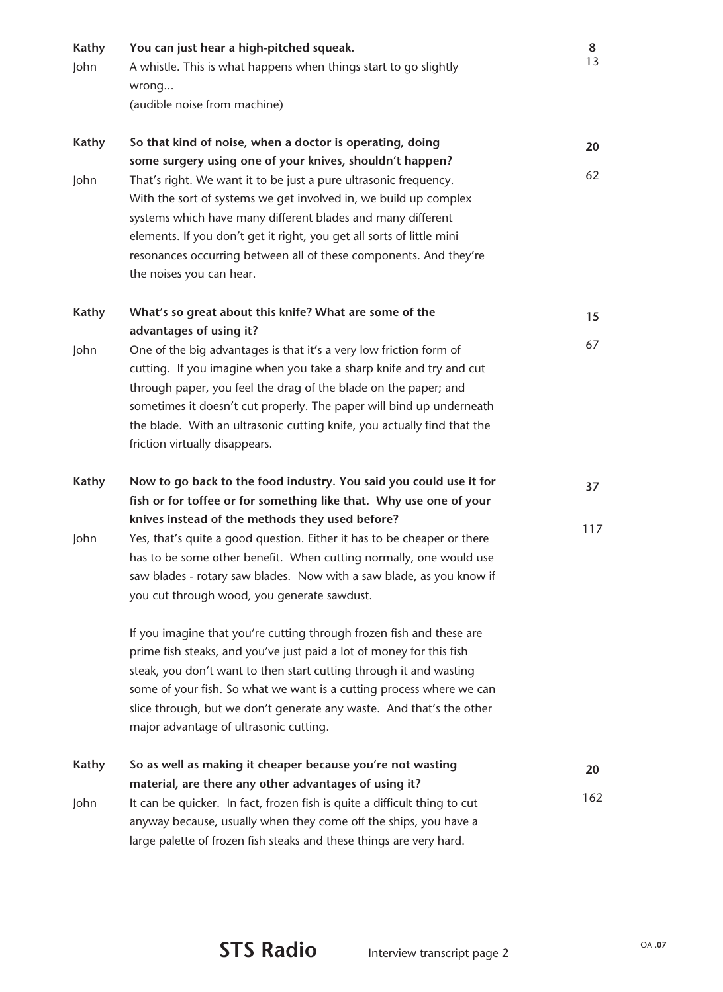| <b>Kathy</b><br>John | You can just hear a high-pitched squeak.<br>A whistle. This is what happens when things start to go slightly<br>wrong<br>(audible noise from machine)                                                                                                                                                                                                                                                                                                                                                 | 8<br>13  |
|----------------------|-------------------------------------------------------------------------------------------------------------------------------------------------------------------------------------------------------------------------------------------------------------------------------------------------------------------------------------------------------------------------------------------------------------------------------------------------------------------------------------------------------|----------|
| <b>Kathy</b><br>John | So that kind of noise, when a doctor is operating, doing<br>some surgery using one of your knives, shouldn't happen?<br>That's right. We want it to be just a pure ultrasonic frequency.<br>With the sort of systems we get involved in, we build up complex<br>systems which have many different blades and many different<br>elements. If you don't get it right, you get all sorts of little mini<br>resonances occurring between all of these components. And they're<br>the noises you can hear. | 20<br>62 |
| <b>Kathy</b>         | What's so great about this knife? What are some of the                                                                                                                                                                                                                                                                                                                                                                                                                                                | 15       |
| John                 | advantages of using it?<br>One of the big advantages is that it's a very low friction form of<br>cutting. If you imagine when you take a sharp knife and try and cut<br>through paper, you feel the drag of the blade on the paper; and<br>sometimes it doesn't cut properly. The paper will bind up underneath<br>the blade. With an ultrasonic cutting knife, you actually find that the<br>friction virtually disappears.                                                                          | 67       |
| <b>Kathy</b>         | Now to go back to the food industry. You said you could use it for<br>fish or for toffee or for something like that. Why use one of your                                                                                                                                                                                                                                                                                                                                                              | 37       |
| John                 | knives instead of the methods they used before?<br>Yes, that's quite a good question. Either it has to be cheaper or there<br>has to be some other benefit. When cutting normally, one would use<br>saw blades - rotary saw blades. Now with a saw blade, as you know if<br>you cut through wood, you generate sawdust.<br>If you imagine that you're cutting through frozen fish and these are<br>prime fish steaks, and you've just paid a lot of money for this fish                               | 117      |
|                      | steak, you don't want to then start cutting through it and wasting<br>some of your fish. So what we want is a cutting process where we can<br>slice through, but we don't generate any waste. And that's the other<br>major advantage of ultrasonic cutting.                                                                                                                                                                                                                                          |          |
| <b>Kathy</b>         | So as well as making it cheaper because you're not wasting                                                                                                                                                                                                                                                                                                                                                                                                                                            | 20       |
| John                 | material, are there any other advantages of using it?<br>It can be quicker. In fact, frozen fish is quite a difficult thing to cut<br>anyway because, usually when they come off the ships, you have a<br>large palette of frozen fish steaks and these things are very hard.                                                                                                                                                                                                                         | 162      |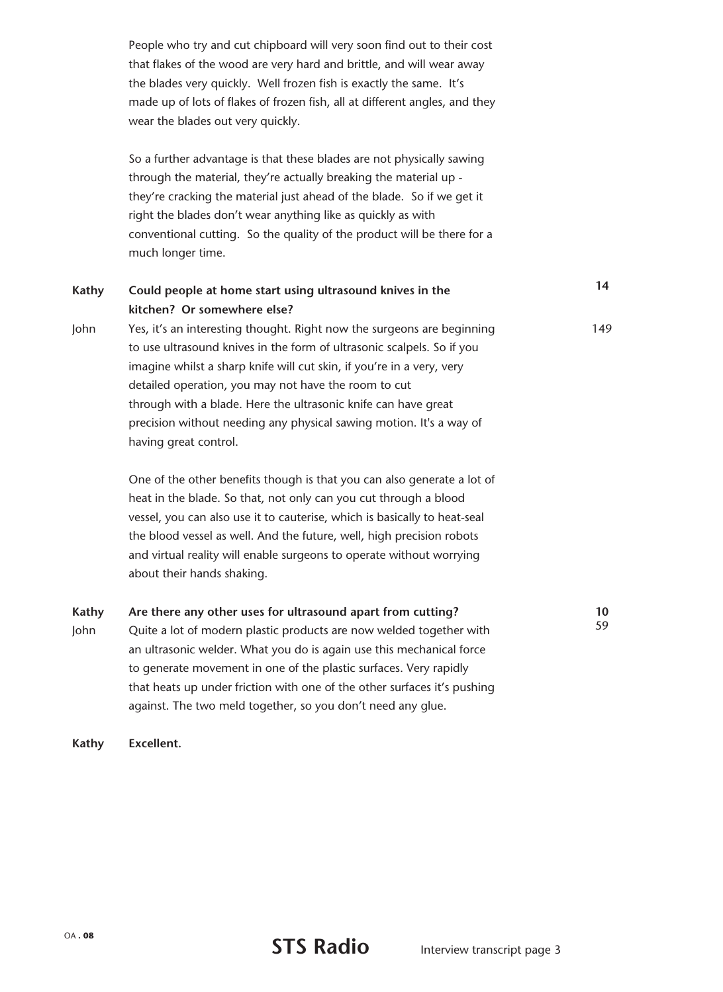People who try and cut chipboard will very soon find out to their cost that flakes of the wood are very hard and brittle, and will wear away the blades very quickly. Well frozen fish is exactly the same. It's made up of lots of flakes of frozen fish, all at different angles, and they wear the blades out very quickly.

So a further advantage is that these blades are not physically sawing through the material, they're actually breaking the material up they're cracking the material just ahead of the blade. So if we get it right the blades don't wear anything like as quickly as with conventional cutting. So the quality of the product will be there for a much longer time.

| Kathy                | Could people at home start using ultrasound knives in the<br>kitchen? Or somewhere else?                                                                                                                                                                                                                                                                                                                                                            | 14       |
|----------------------|-----------------------------------------------------------------------------------------------------------------------------------------------------------------------------------------------------------------------------------------------------------------------------------------------------------------------------------------------------------------------------------------------------------------------------------------------------|----------|
| John                 | Yes, it's an interesting thought. Right now the surgeons are beginning<br>to use ultrasound knives in the form of ultrasonic scalpels. So if you<br>imagine whilst a sharp knife will cut skin, if you're in a very, very<br>detailed operation, you may not have the room to cut<br>through with a blade. Here the ultrasonic knife can have great<br>precision without needing any physical sawing motion. It's a way of<br>having great control. | 149      |
|                      | One of the other benefits though is that you can also generate a lot of<br>heat in the blade. So that, not only can you cut through a blood<br>vessel, you can also use it to cauterise, which is basically to heat-seal<br>the blood vessel as well. And the future, well, high precision robots<br>and virtual reality will enable surgeons to operate without worrying<br>about their hands shaking.                                             |          |
| <b>Kathy</b><br>John | Are there any other uses for ultrasound apart from cutting?<br>Quite a lot of modern plastic products are now welded together with<br>an ultrasonic welder. What you do is again use this mechanical force<br>to generate movement in one of the plastic surfaces. Very rapidly<br>that heats up under friction with one of the other surfaces it's pushing<br>against. The two meld together, so you don't need any glue.                          | 10<br>59 |

**Kathy Excellent.**